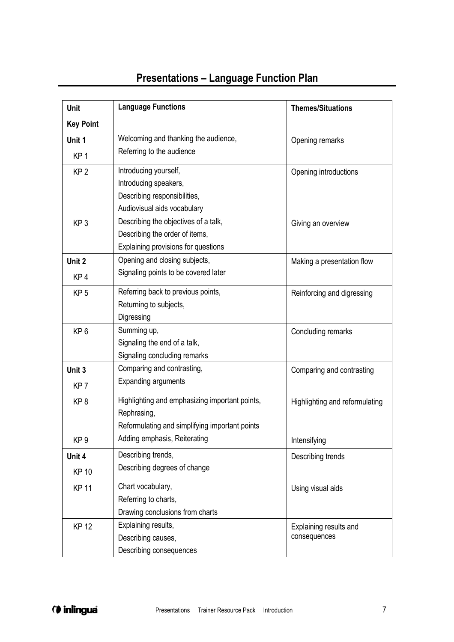## **Presentations – Language Function Plan**

| <b>Unit</b>      | <b>Language Functions</b>                      | <b>Themes/Situations</b>       |
|------------------|------------------------------------------------|--------------------------------|
| <b>Key Point</b> |                                                |                                |
| Unit 1           | Welcoming and thanking the audience,           | Opening remarks                |
| KP <sub>1</sub>  | Referring to the audience                      |                                |
| KP <sub>2</sub>  | Introducing yourself,                          | Opening introductions          |
|                  | Introducing speakers,                          |                                |
|                  | Describing responsibilities,                   |                                |
|                  | Audiovisual aids vocabulary                    |                                |
| KP <sub>3</sub>  | Describing the objectives of a talk,           | Giving an overview             |
|                  | Describing the order of items,                 |                                |
|                  | Explaining provisions for questions            |                                |
| Unit 2           | Opening and closing subjects,                  | Making a presentation flow     |
| KP <sub>4</sub>  | Signaling points to be covered later           |                                |
| KP <sub>5</sub>  | Referring back to previous points,             | Reinforcing and digressing     |
|                  | Returning to subjects,                         |                                |
|                  | Digressing                                     |                                |
| KP <sub>6</sub>  | Summing up,                                    | Concluding remarks             |
|                  | Signaling the end of a talk,                   |                                |
|                  | Signaling concluding remarks                   |                                |
| Unit 3           | Comparing and contrasting,                     | Comparing and contrasting      |
| KP <sub>7</sub>  | <b>Expanding arguments</b>                     |                                |
| KP <sub>8</sub>  | Highlighting and emphasizing important points, | Highlighting and reformulating |
|                  | Rephrasing,                                    |                                |
|                  | Reformulating and simplifying important points |                                |
| KP <sub>9</sub>  | Adding emphasis, Reiterating                   | Intensifying                   |
| Unit 4           | Describing trends,                             | Describing trends              |
| <b>KP 10</b>     | Describing degrees of change                   |                                |
| <b>KP 11</b>     | Chart vocabulary,                              | Using visual aids              |
|                  | Referring to charts,                           |                                |
|                  | Drawing conclusions from charts                |                                |
| <b>KP 12</b>     | Explaining results,                            | Explaining results and         |
|                  | Describing causes,                             | consequences                   |
|                  | Describing consequences                        |                                |